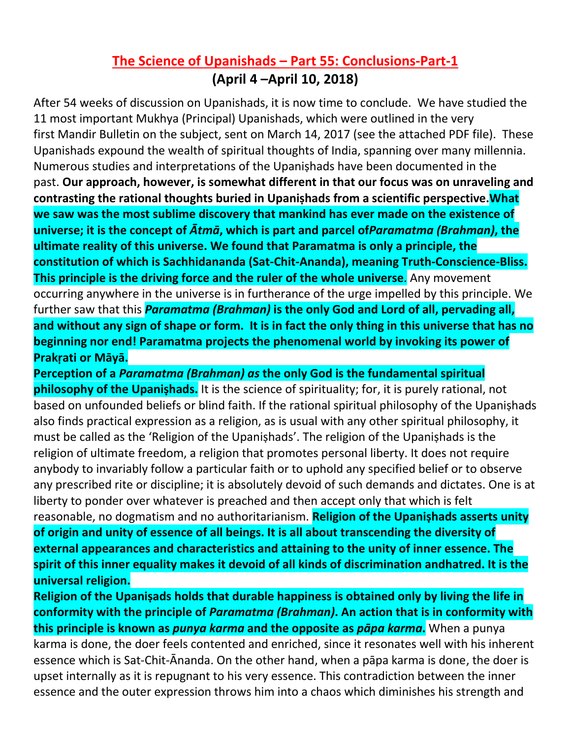## **The Science of Upanishads – Part 55: Conclusions-Part-1 (April 4 –April 10, 2018)**

After 54 weeks of discussion on Upanishads, it is now time to conclude. We have studied the 11 most important Mukhya (Principal) Upanishads, which were outlined in the very first Mandir Bulletin on the subject, sent on March 14, 2017 (see the attached PDF file). These Upanishads expound the wealth of spiritual thoughts of India, spanning over many millennia. Numerous studies and interpretations of the Upaniṣhads have been documented in the past. **Our approach, however, is somewhat different in that our focus was on unraveling and contrasting the rational thoughts buried in Upaniṣhads from a scientific perspective.What we saw was the most sublime discovery that mankind has ever made on the existence of universe; it is the concept of** *Ātmā***, which is part and parcel of***Paramatma (Brahman)***, the ultimate reality of this universe. We found that Paramatma is only a principle, the constitution of which is Sachhidananda (Sat-Chit-Ananda), meaning Truth-Conscience-Bliss. This principle is the driving force and the ruler of the whole universe**. Any movement occurring anywhere in the universe is in furtherance of the urge impelled by this principle. We further saw that this *Paramatma (Brahman)* **is the only God and Lord of all, pervading all, and without any sign of shape or form. It is in fact the only thing in this universe that has no beginning nor end! Paramatma projects the phenomenal world by invoking its power of Prakṛati or Māyā.**

**Perception of a** *Paramatma (Brahman) as* **the only God is the fundamental spiritual philosophy of the Upanishads.** It is the science of spirituality; for, it is purely rational, not based on unfounded beliefs or blind faith. If the rational spiritual philosophy of the Upaniṣhads also finds practical expression as a religion, as is usual with any other spiritual philosophy, it must be called as the 'Religion of the Upaniṣhads'. The religion of the Upaniṣhads is the religion of ultimate freedom, a religion that promotes personal liberty. It does not require anybody to invariably follow a particular faith or to uphold any specified belief or to observe any prescribed rite or discipline; it is absolutely devoid of such demands and dictates. One is at liberty to ponder over whatever is preached and then accept only that which is felt reasonable, no dogmatism and no authoritarianism. **Religion of the Upaniṣhads asserts unity of origin and unity of essence of all beings. It is all about transcending the diversity of external appearances and characteristics and attaining to the unity of inner essence. The spirit of this inner equality makes it devoid of all kinds of discrimination andhatred. It is the universal religion.**

**Religion of the Upaniṣads holds that durable happiness is obtained only by living the life in conformity with the principle of** *Paramatma (Brahman)***. An action that is in conformity with this principle is known as** *punya karma* **and the opposite as** *pāpa karma***.** When a punya karma is done, the doer feels contented and enriched, since it resonates well with his inherent essence which is Sat-Chit-Ānanda. On the other hand, when a pāpa karma is done, the doer is upset internally as it is repugnant to his very essence. This contradiction between the inner essence and the outer expression throws him into a chaos which diminishes his strength and